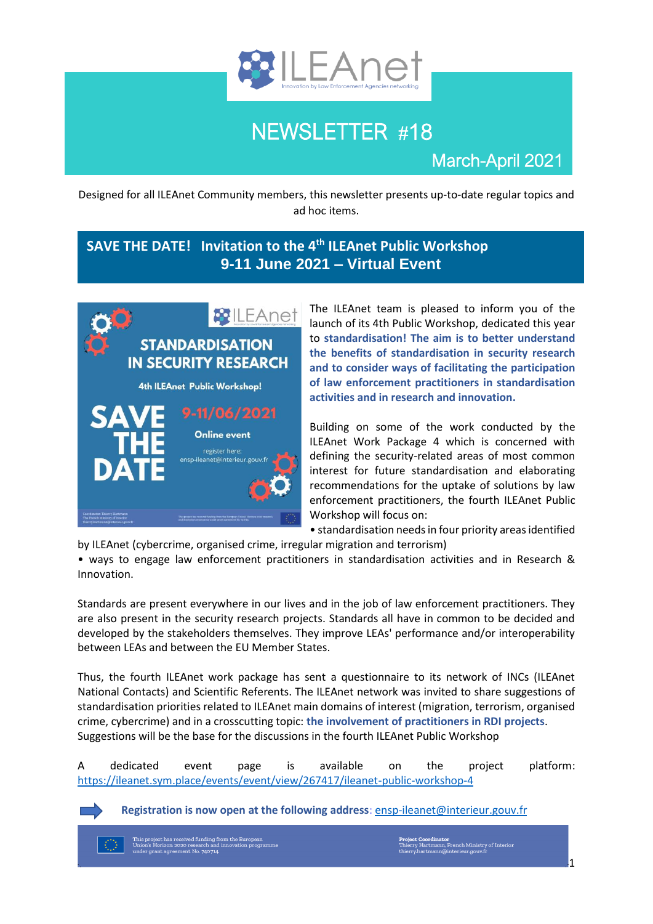

# NEWSLETTER #18

March-April 2021

Designed for all ILEAnet Community members, this newsletter presents up-to-date regular topics and ad hoc items.

### **SAVE THE DATE! Invitation to the 4th ILEAnet Public Workshop 9-11 June 2021 – Virtual Event**



The ILEAnet team is pleased to inform you of the launch of its 4th Public Workshop, dedicated this year to **standardisation! The aim is to better understand the benefits of standardisation in security research and to consider ways of facilitating the participation of law enforcement practitioners in standardisation activities and in research and innovation.** 

Building on some of the work conducted by the ILEAnet Work Package 4 which is concerned with defining the security-related areas of most common interest for future standardisation and elaborating recommendations for the uptake of solutions by law enforcement practitioners, the fourth ILEAnet Public Workshop will focus on:

• standardisation needs in four priority areas identified by ILEAnet (cybercrime, organised crime, irregular migration and terrorism)

• ways to engage law enforcement practitioners in standardisation activities and in Research & Innovation.

Standards are present everywhere in our lives and in the job of law enforcement practitioners. They are also present in the security research projects. Standards all have in common to be decided and developed by the stakeholders themselves. They improve LEAs' performance and/or interoperability between LEAs and between the EU Member States.

Thus, the fourth ILEAnet work package has sent a questionnaire to its network of INCs (ILEAnet National Contacts) and Scientific Referents. The ILEAnet network was invited to share suggestions of standardisation priorities related to ILEAnet main domains of interest (migration, terrorism, organised crime, cybercrime) and in a crosscutting topic: **the involvement of practitioners in RDI projects**. Suggestions will be the base for the discussions in the fourth ILEAnet Public Workshop

A dedicated event page is available on the project platform: <https://ileanet.sym.place/events/event/view/267417/ileanet-public-workshop-4>

**Registration is now open at the following address**: [ensp-ileanet@interieur.gouv.fr](mailto:ensp-ileanet@interieur.gouv.fr)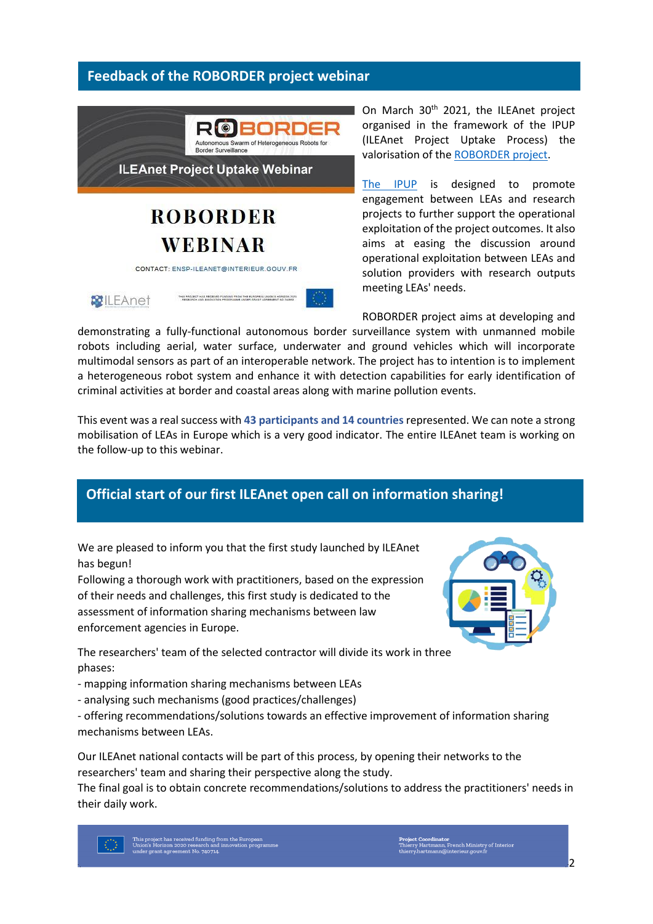#### **Feedback of the ROBORDER project webinar**



**ILEAnet Project Uptake Webinar** 

## **ROBORDER WEBINAR**

CONTACT: ENSP-ILEANET@INTERIEUR.GOUV.FR

**RE**ILEAnet



On March 30<sup>th</sup> 2021, the ILEAnet project organised in the framework of the IPUP (ILEAnet Project Uptake Process) the valorisation of the [ROBORDER project.](https://roborder.eu/)

[The IPUP](https://ileanet.sym.place/file/view/248742/ipup-process) is designed to promote engagement between LEAs and research projects to further support the operational exploitation of the project outcomes. It also aims at easing the discussion around operational exploitation between LEAs and solution providers with research outputs meeting LEAs' needs.

ROBORDER project aims at developing and

demonstrating a fully-functional autonomous border surveillance system with unmanned mobile robots including aerial, water surface, underwater and ground vehicles which will incorporate multimodal sensors as part of an interoperable network. The project has to intention is to implement a heterogeneous robot system and enhance it with detection capabilities for early identification of criminal activities at border and coastal areas along with marine pollution events.

This event was a real success with **43 participants and 14 countries** represented. We can note a strong mobilisation of LEAs in Europe which is a very good indicator. The entire ILEAnet team is working on the follow-up to this webinar.

### **Official start of our first ILEAnet open call on information sharing!**

We are pleased to inform you that the first study launched by ILEAnet has begun!

Following a thorough work with practitioners, based on the expression of their needs and challenges, this first study is dedicated to the assessment of information sharing mechanisms between law enforcement agencies in Europe.

The researchers' team of the selected contractor will divide its work in three phases:

- mapping information sharing mechanisms between LEAs
- analysing such mechanisms (good practices/challenges)

- offering recommendations/solutions towards an effective improvement of information sharing mechanisms between LEAs.

Our ILEAnet national contacts will be part of this process, by opening their networks to the researchers' team and sharing their perspective along the study.

The final goal is to obtain concrete recommendations/solutions to address the practitioners' needs in their daily work.